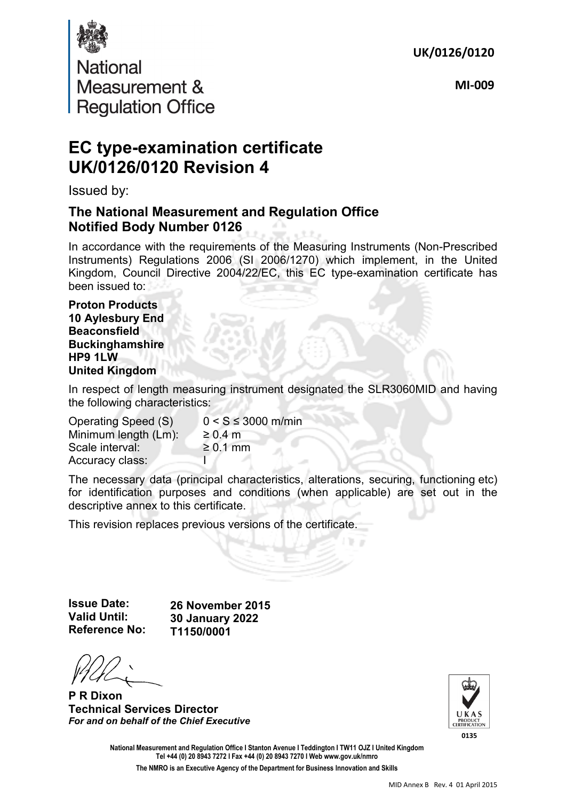**UK/0126/0120**



**MI-009**

## **EC type-examination certificate UK/0126/0120 Revision 4**

Issued by:

### **The National Measurement and Regulation Office Notified Body Number 0126**

In accordance with the requirements of the Measuring Instruments (Non-Prescribed Instruments) Regulations 2006 (SI 2006/1270) which implement, in the United Kingdom, Council Directive 2004/22/EC, this EC type-examination certificate has been issued to:

**Proton Products 10 Aylesbury End Beaconsfield Buckinghamshire HP9 1LW United Kingdom** 

In respect of length measuring instrument designated the SLR3060MID and having the following characteristics:

| Operating Speed (S)  | $0 < S \leq 3000$ m/min |
|----------------------|-------------------------|
| Minimum length (Lm): | $\geq 0.4$ m            |
| Scale interval:      | $\geq 0.1$ mm           |
| Accuracy class:      |                         |

The necessary data (principal characteristics, alterations, securing, functioning etc) for identification purposes and conditions (when applicable) are set out in the descriptive annex to this certificate.

This revision replaces previous versions of the certificate.

**Issue Date: Valid Until: Reference No:** 

**26 November 2015 30 January 2022 T1150/0001**

**P R Dixon Technical Services Director**  *For and on behalf of the Chief Executive*



**National Measurement and Regulation Office I Stanton Avenue I Teddington I TW11 OJZ I United Kingdom Tel +44 (0) 20 8943 7272 I Fax +44 (0) 20 8943 7270 I Web www.gov.uk/nmro** 

**The NMRO is an Executive Agency of the Department for Business Innovation and Skills**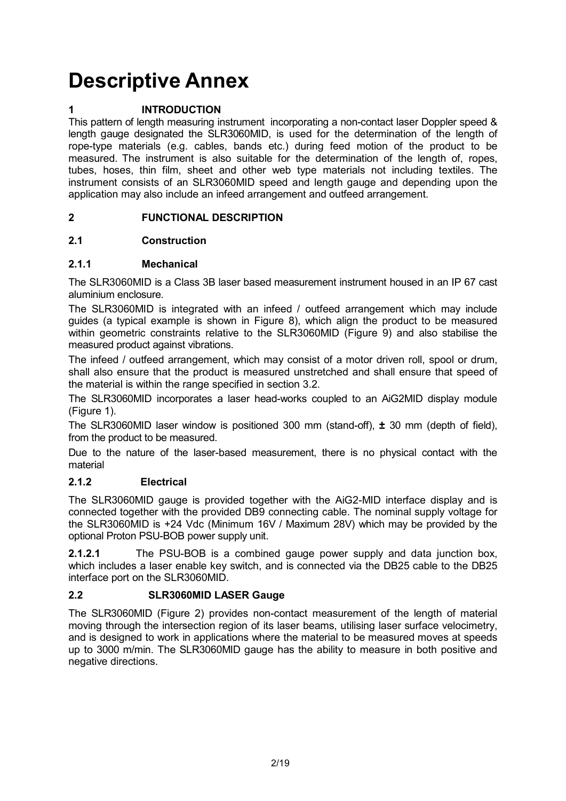# **Descriptive Annex**

#### **1 INTRODUCTION**

This pattern of length measuring instrument incorporating a non-contact laser Doppler speed & length gauge designated the SLR3060MID, is used for the determination of the length of rope-type materials (e.g. cables, bands etc.) during feed motion of the product to be measured. The instrument is also suitable for the determination of the length of, ropes, tubes, hoses, thin film, sheet and other web type materials not including textiles. The instrument consists of an SLR3060MID speed and length gauge and depending upon the application may also include an infeed arrangement and outfeed arrangement.

#### **2 FUNCTIONAL DESCRIPTION**

#### **2.1 Construction**

#### **2.1.1 Mechanical**

The SLR3060MID is a Class 3B laser based measurement instrument housed in an IP 67 cast aluminium enclosure.

The SLR3060MID is integrated with an infeed / outfeed arrangement which may include guides (a typical example is shown in Figure 8), which align the product to be measured within geometric constraints relative to the SLR3060MID (Figure 9) and also stabilise the measured product against vibrations.

The infeed / outfeed arrangement, which may consist of a motor driven roll, spool or drum, shall also ensure that the product is measured unstretched and shall ensure that speed of the material is within the range specified in section 3.2.

The SLR3060MID incorporates a laser head-works coupled to an AiG2MID display module (Figure 1).

The SLR3060MID laser window is positioned 300 mm (stand-off), **±** 30 mm (depth of field), from the product to be measured.

Due to the nature of the laser-based measurement, there is no physical contact with the material

#### **2.1.2 Electrical**

The SLR3060MID gauge is provided together with the AiG2-MID interface display and is connected together with the provided DB9 connecting cable. The nominal supply voltage for the SLR3060MID is +24 Vdc (Minimum 16V / Maximum 28V) which may be provided by the optional Proton PSU-BOB power supply unit.

**2.1.2.1** The PSU-BOB is a combined gauge power supply and data junction box, which includes a laser enable key switch, and is connected via the DB25 cable to the DB25 interface port on the SLR3060MID.

#### **2.2 SLR3060MID LASER Gauge**

The SLR3060MID (Figure 2) provides non-contact measurement of the length of material moving through the intersection region of its laser beams, utilising laser surface velocimetry, and is designed to work in applications where the material to be measured moves at speeds up to 3000 m/min. The SLR3060MID gauge has the ability to measure in both positive and negative directions.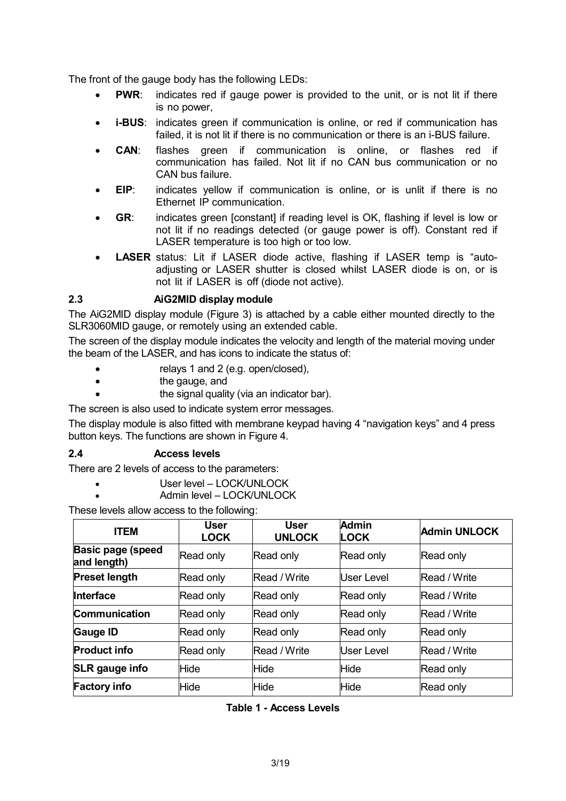The front of the gauge body has the following LEDs:

- **PWR:** indicates red if gauge power is provided to the unit, or is not lit if there is no power,
- **i-BUS:** indicates green if communication is online, or red if communication has failed, it is not lit if there is no communication or there is an i-BUS failure.
- **CAN**: flashes green if communication is online, or flashes red if communication has failed. Not lit if no CAN bus communication or no CAN bus failure.
- **EIP:** indicates yellow if communication is online, or is unlit if there is no Ethernet IP communication.
- **GR**: indicates green [constant] if reading level is OK, flashing if level is low or not lit if no readings detected (or gauge power is off). Constant red if LASER temperature is too high or too low.
- **LASER** status: Lit if LASER diode active, flashing if LASER temp is "autoadjusting or LASER shutter is closed whilst LASER diode is on, or is not lit if LASER is off (diode not active).

#### **2.3 AiG2MID display module**

The AiG2MID display module (Figure 3) is attached by a cable either mounted directly to the SLR3060MID gauge, or remotely using an extended cable.

The screen of the display module indicates the velocity and length of the material moving under the beam of the LASER, and has icons to indicate the status of:

- relays 1 and 2 (e.g. open/closed),
- **the gauge, and**
- **the signal quality (via an indicator bar).**

The screen is also used to indicate system error messages.

The display module is also fitted with membrane keypad having 4 "navigation keys" and 4 press button keys. The functions are shown in Figure 4.

#### **2.4 Access levels**

There are 2 levels of access to the parameters:

- User level LOCK/UNLOCK
	- Admin level LOCK/UNLOCK

These levels allow access to the following:

| <b>ITEM</b>                             | User<br><b>LOCK</b> | <b>User</b><br><b>UNLOCK</b> | <b>Admin</b><br><b>LOCK</b> | Admin UNLOCK        |
|-----------------------------------------|---------------------|------------------------------|-----------------------------|---------------------|
| <b>Basic page (speed</b><br>and length) | Read only           | Read only                    | Read only                   | Read only           |
| <b>Preset length</b>                    | Read only           | Read / Write                 | User Level                  | <b>Read / Write</b> |
| <b>Interface</b>                        | Read only           | Read only                    | Read only                   | Read / Write        |
| <b>Communication</b>                    | Read only           | Read only                    | Read only                   | Read / Write        |
| <b>Gauge ID</b>                         | Read only           | Read only                    | Read only                   | Read only           |
| <b>Product info</b>                     | Read only           | Read / Write                 | User Level                  | <b>Read / Write</b> |
| <b>SLR</b> gauge info                   | Hide                | Hide                         | <b>Hide</b>                 | Read only           |
| <b>Factory info</b>                     | Hide                | Hide                         | <b>Hide</b>                 | Read only           |

**Table 1 - Access Levels**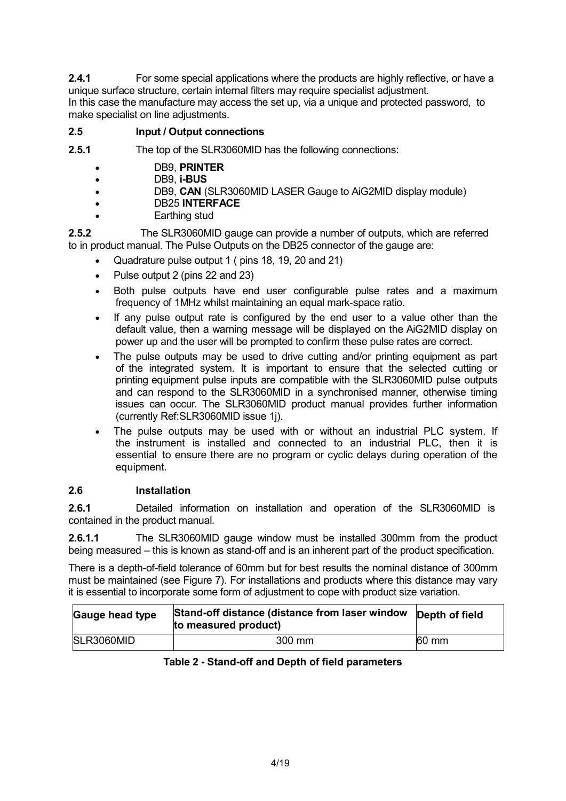**2.4.1** For some special applications where the products are highly reflective, or have a unique surface structure, certain internal filters may require specialist adjustment. In this case the manufacture may access the set up, via a unique and protected password, to make specialist on line adjustments.

#### **2.5 Input / Output connections**

**2.5.1** The top of the SLR3060MID has the following connections:

- DB9, **PRINTER**
- DB9, **i-BUS**
- DB9, **CAN** (SLR3060MID LASER Gauge to AiG2MID display module)
- DB25 **INTERFACE**
- Earthing stud

**2.5.2** The SLR3060MID gauge can provide a number of outputs, which are referred to in product manual. The Pulse Outputs on the DB25 connector of the gauge are:

- Quadrature pulse output 1 ( pins 18, 19, 20 and 21)
- Pulse output 2 (pins 22 and 23)
- Both pulse outputs have end user configurable pulse rates and a maximum frequency of 1MHz whilst maintaining an equal mark-space ratio.
- If any pulse output rate is configured by the end user to a value other than the default value, then a warning message will be displayed on the AiG2MID display on power up and the user will be prompted to confirm these pulse rates are correct.
- The pulse outputs may be used to drive cutting and/or printing equipment as part of the integrated system. It is important to ensure that the selected cutting or printing equipment pulse inputs are compatible with the SLR3060MID pulse outputs and can respond to the SLR3060MID in a synchronised manner, otherwise timing issues can occur. The SLR3060MID product manual provides further information (currently Ref:SLR3060MID issue 1j).
- The pulse outputs may be used with or without an industrial PLC system. If the instrument is installed and connected to an industrial PLC, then it is essential to ensure there are no program or cyclic delays during operation of the equipment.

#### **2.6 Installation**

**2.6.1** Detailed information on installation and operation of the SLR3060MID is contained in the product manual.

**2.6.1.1** The SLR3060MID gauge window must be installed 300mm from the product being measured – this is known as stand-off and is an inherent part of the product specification.

There is a depth-of-field tolerance of 60mm but for best results the nominal distance of 300mm must be maintained (see Figure 7). For installations and products where this distance may vary it is essential to incorporate some form of adjustment to cope with product size variation.

| Gauge head type | Stand-off distance (distance from laser window<br>to measured product) | Depth of field   |
|-----------------|------------------------------------------------------------------------|------------------|
| SLR3060MID      | 300 mm                                                                 | $160 \text{ mm}$ |

#### **Table 2 - Stand-off and Depth of field parameters**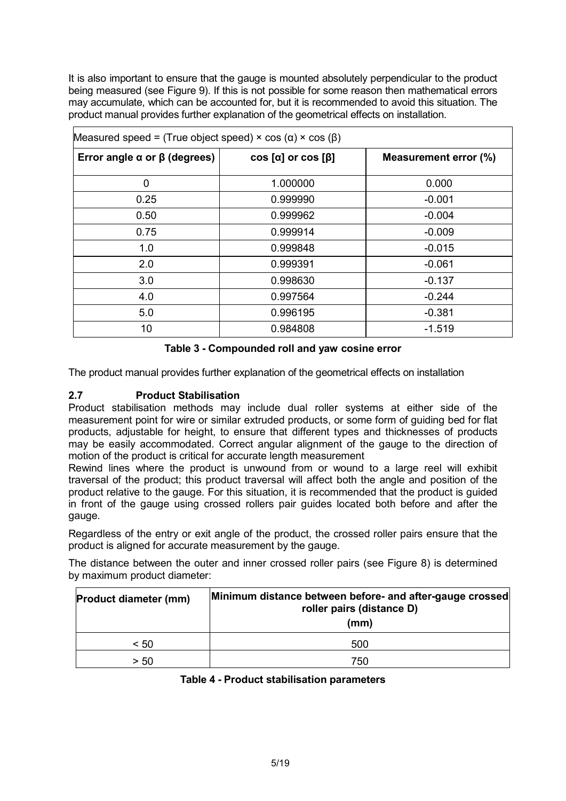It is also important to ensure that the gauge is mounted absolutely perpendicular to the product being measured (see Figure 9). If this is not possible for some reason then mathematical errors may accumulate, which can be accounted for, but it is recommended to avoid this situation. The product manual provides further explanation of the geometrical effects on installation.

| Measured speed = (True object speed) $\times$ cos ( $\alpha$ ) $\times$ cos ( $\beta$ ) |                                   |                       |
|-----------------------------------------------------------------------------------------|-----------------------------------|-----------------------|
| Error angle $\alpha$ or $\beta$ (degrees)                                               | $\cos [\alpha]$ or $\cos [\beta]$ | Measurement error (%) |
| $\overline{0}$                                                                          | 1.000000                          | 0.000                 |
| 0.25                                                                                    | 0.999990                          | $-0.001$              |
| 0.50                                                                                    | 0.999962                          | $-0.004$              |
| 0.75                                                                                    | 0.999914                          | $-0.009$              |
| 1.0                                                                                     | 0.999848                          | $-0.015$              |
| 2.0                                                                                     | 0.999391                          | $-0.061$              |
| 3.0                                                                                     | 0.998630                          | $-0.137$              |
| 4.0                                                                                     | 0.997564                          | $-0.244$              |
| 5.0                                                                                     | 0.996195                          | $-0.381$              |
| 10                                                                                      | 0.984808                          | $-1.519$              |

#### **Table 3 - Compounded roll and yaw cosine error**

The product manual provides further explanation of the geometrical effects on installation

#### **2.7 Product Stabilisation**

Product stabilisation methods may include dual roller systems at either side of the measurement point for wire or similar extruded products, or some form of guiding bed for flat products, adjustable for height, to ensure that different types and thicknesses of products may be easily accommodated. Correct angular alignment of the gauge to the direction of motion of the product is critical for accurate length measurement

Rewind lines where the product is unwound from or wound to a large reel will exhibit traversal of the product; this product traversal will affect both the angle and position of the product relative to the gauge. For this situation, it is recommended that the product is guided in front of the gauge using crossed rollers pair guides located both before and after the gauge.

Regardless of the entry or exit angle of the product, the crossed roller pairs ensure that the product is aligned for accurate measurement by the gauge.

The distance between the outer and inner crossed roller pairs (see Figure 8) is determined by maximum product diameter:

| <b>Product diameter (mm)</b> | Minimum distance between before- and after-gauge crossed<br>roller pairs (distance D)<br>(mm) |
|------------------------------|-----------------------------------------------------------------------------------------------|
| < 50                         | 500                                                                                           |
| > 50                         | 750                                                                                           |

#### **Table 4 - Product stabilisation parameters**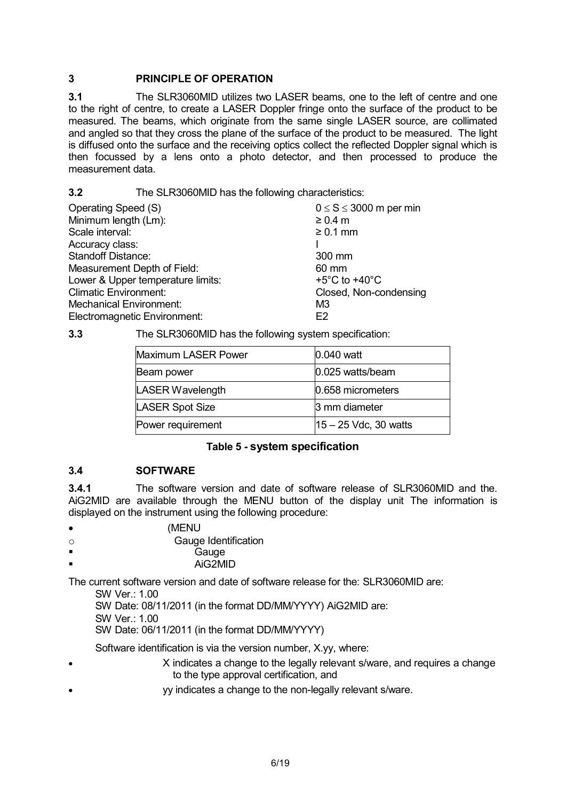#### **3 PRINCIPLE OF OPERATION**

**3.1** The SLR3060MID utilizes two LASER beams, one to the left of centre and one to the right of centre, to create a LASER Doppler fringe onto the surface of the product to be measured. The beams, which originate from the same single LASER source, are collimated and angled so that they cross the plane of the surface of the product to be measured. The light is diffused onto the surface and the receiving optics collect the reflected Doppler signal which is then focussed by a lens onto a photo detector, and then processed to produce the measurement data.

**3.2** The SLR3060MID has the following characteristics:

| Operating Speed (S)               | $0 \le S \le 3000$ m per min        |
|-----------------------------------|-------------------------------------|
| Minimum length (Lm):              | $\geq 0.4$ m                        |
| Scale interval:                   | $\geq 0.1$ mm                       |
| Accuracy class:                   |                                     |
| <b>Standoff Distance:</b>         | 300 mm                              |
| Measurement Depth of Field:       | 60 mm                               |
| Lower & Upper temperature limits: | +5 $^{\circ}$ C to +40 $^{\circ}$ C |
| <b>Climatic Environment:</b>      | Closed, Non-condensing              |
| <b>Mechanical Environment:</b>    | M3                                  |
| Electromagnetic Environment:      | F2                                  |

#### **3.3** The SLR3060MID has the following system specification:

| Maximum LASER Power | 0.040 watt                                |
|---------------------|-------------------------------------------|
| Beam power          | 0.025 watts/beam                          |
| LASER Wavelength    | 0.658 micrometers                         |
| LASER Spot Size     | 3 mm diameter                             |
| Power requirement   | $ 15 - 25 \text{ Vdc}, 30 \text{ watts} $ |

#### **Table 5 - system specification**

#### **3.4 SOFTWARE**

**3.4.1** The software version and date of software release of SLR3060MID and the. AiG2MID are available through the MENU button of the display unit The information is displayed on the instrument using the following procedure:

- (MENU
- o Gauge Identification
- **Gauge** 
	- AiG2MID

The current software version and date of software release for the: SLR3060MID are:

SW Ver.: 1.00

SW Date: 08/11/2011 (in the format DD/MM/YYYY) AiG2MID are:

SW Ver.: 1.00

SW Date: 06/11/2011 (in the format DD/MM/YYYY)

Software identification is via the version number, X.yy, where:

- X indicates a change to the legally relevant s/ware, and requires a change to the type approval certification, and
- yy indicates a change to the non-legally relevant s/ware.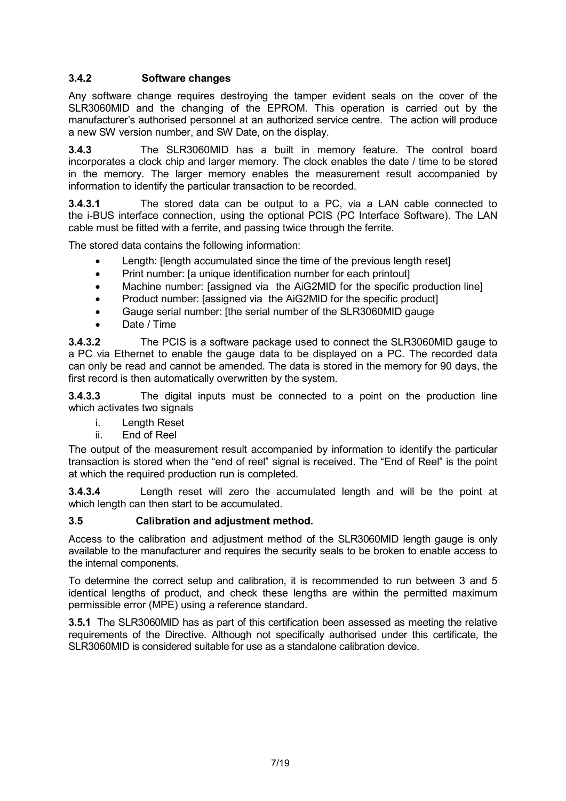#### **3.4.2 Software changes**

Any software change requires destroying the tamper evident seals on the cover of the SLR3060MID and the changing of the EPROM. This operation is carried out by the manufacturer's authorised personnel at an authorized service centre. The action will produce a new SW version number, and SW Date, on the display.

**3.4.3** The SLR3060MID has a built in memory feature. The control board incorporates a clock chip and larger memory. The clock enables the date / time to be stored in the memory. The larger memory enables the measurement result accompanied by information to identify the particular transaction to be recorded.

**3.4.3.1** The stored data can be output to a PC, via a LAN cable connected to the i-BUS interface connection, using the optional PCIS (PC Interface Software). The LAN cable must be fitted with a ferrite, and passing twice through the ferrite.

The stored data contains the following information:

- Length: [length accumulated since the time of the previous length reset]
- Print number: [a unique identification number for each printout]
- Machine number: [assigned via the AiG2MID for the specific production line]
- Product number: [assigned via the AiG2MID for the specific product]
- Gauge serial number: [the serial number of the SLR3060MID gauge
- Date / Time

**3.4.3.2** The PCIS is a software package used to connect the SLR3060MID gauge to a PC via Ethernet to enable the gauge data to be displayed on a PC. The recorded data can only be read and cannot be amended. The data is stored in the memory for 90 days, the first record is then automatically overwritten by the system.

**3.4.3.3** The digital inputs must be connected to a point on the production line which activates two signals

- i. Length Reset
- ii. End of Reel

The output of the measurement result accompanied by information to identify the particular transaction is stored when the "end of reel" signal is received. The "End of Reel" is the point at which the required production run is completed.

**3.4.3.4** Length reset will zero the accumulated length and will be the point at which length can then start to be accumulated.

#### **3.5 Calibration and adjustment method.**

Access to the calibration and adjustment method of the SLR3060MID length gauge is only available to the manufacturer and requires the security seals to be broken to enable access to the internal components.

To determine the correct setup and calibration, it is recommended to run between 3 and 5 identical lengths of product, and check these lengths are within the permitted maximum permissible error (MPE) using a reference standard.

**3.5.1** The SLR3060MID has as part of this certification been assessed as meeting the relative requirements of the Directive. Although not specifically authorised under this certificate, the SLR3060MID is considered suitable for use as a standalone calibration device.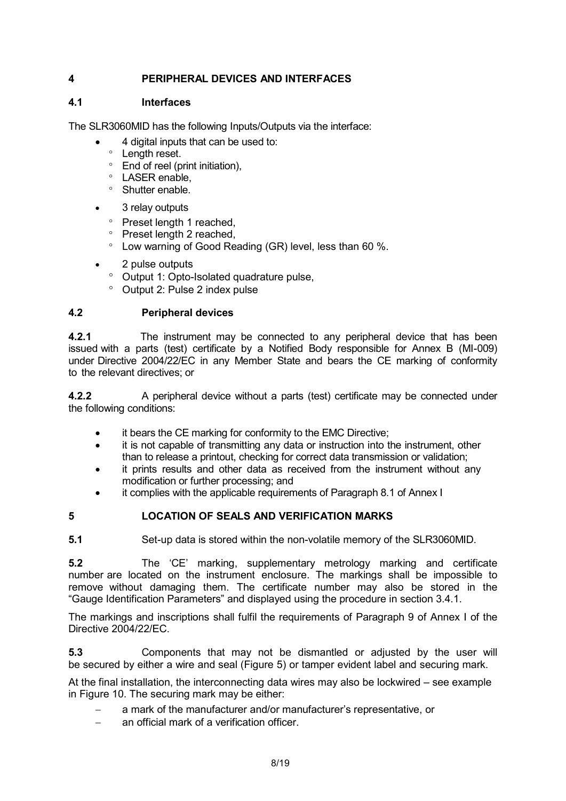#### **4 PERIPHERAL DEVICES AND INTERFACES**

#### **4.1 Interfaces**

The SLR3060MID has the following Inputs/Outputs via the interface:

- 4 digital inputs that can be used to:
	- ° Length reset.
	- ° End of reel (print initiation),
	- ° LASER enable,
	- ° Shutter enable.
- 3 relay outputs
	- ° Preset length 1 reached,
	- ° Preset length 2 reached,
	- ° Low warning of Good Reading (GR) level, less than 60 %.
- 2 pulse outputs
	- ° Output 1: Opto-Isolated quadrature pulse,
	- ° Output 2: Pulse 2 index pulse

#### **4.2 Peripheral devices**

**4.2.1** The instrument may be connected to any peripheral device that has been issued with a parts (test) certificate by a Notified Body responsible for Annex B (MI-009) under Directive 2004/22/EC in any Member State and bears the CE marking of conformity to the relevant directives; or

**4.2.2** A peripheral device without a parts (test) certificate may be connected under the following conditions:

- it bears the CE marking for conformity to the EMC Directive;
- it is not capable of transmitting any data or instruction into the instrument, other than to release a printout, checking for correct data transmission or validation;
- it prints results and other data as received from the instrument without any modification or further processing; and
- it complies with the applicable requirements of Paragraph 8.1 of Annex I
- **5 LOCATION OF SEALS AND VERIFICATION MARKS**

**5.1** Set-up data is stored within the non-volatile memory of the SLR3060MID.

**5.2** The 'CE' marking, supplementary metrology marking and certificate number are located on the instrument enclosure. The markings shall be impossible to remove without damaging them. The certificate number may also be stored in the "Gauge Identification Parameters" and displayed using the procedure in section 3.4.1.

The markings and inscriptions shall fulfil the requirements of Paragraph 9 of Annex I of the Directive 2004/22/EC.

**5.3** Components that may not be dismantled or adjusted by the user will be secured by either a wire and seal (Figure 5) or tamper evident label and securing mark.

At the final installation, the interconnecting data wires may also be lockwired – see example in Figure 10. The securing mark may be either:

- a mark of the manufacturer and/or manufacturer's representative, or
- an official mark of a verification officer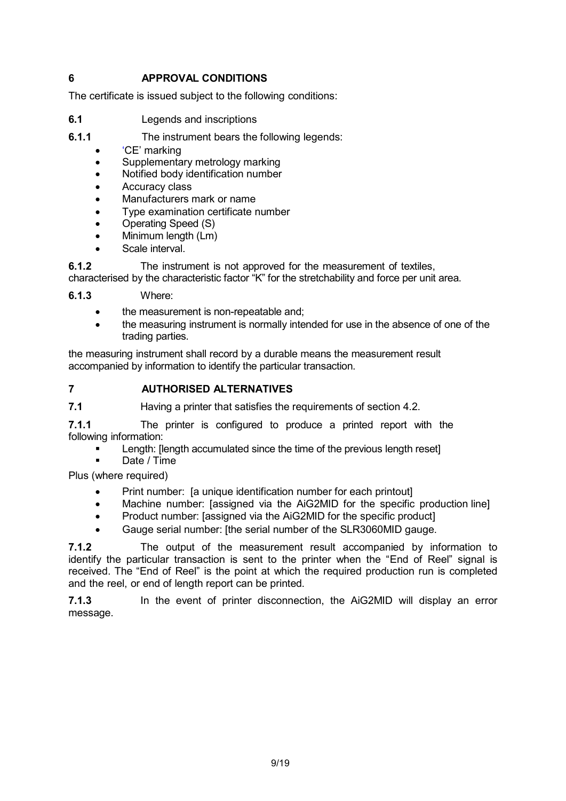#### **6 APPROVAL CONDITIONS**

The certificate is issued subject to the following conditions:

- **6.1** Legends and inscriptions
- **6.1.1** The instrument bears the following legends:
	- 'CE' marking
	- Supplementary metrology marking
	- Notified body identification number
	- Accuracy class
	- Manufacturers mark or name
	- Type examination certificate number
	- Operating Speed (S)
	- Minimum length (Lm)
	- Scale interval.

**6.1.2** The instrument is not approved for the measurement of textiles,

characterised by the characteristic factor "K" for the stretchability and force per unit area.

**6.1.3** Where:

- the measurement is non-repeatable and;
- the measuring instrument is normally intended for use in the absence of one of the trading parties.

the measuring instrument shall record by a durable means the measurement result accompanied by information to identify the particular transaction.

#### **7 AUTHORISED ALTERNATIVES**

**7.1 Having a printer that satisfies the requirements of section 4.2.** 

**7.1.1** The printer is configured to produce a printed report with the following information:

- **EXECUTE:** Length: [length accumulated since the time of the previous length reset]
- Date / Time

Plus (where required)

- Print number: [a unique identification number for each printout]
- Machine number: [assigned via the AiG2MID for the specific production line]
- Product number: [assigned via the AiG2MID for the specific product]
- Gauge serial number: [the serial number of the SLR3060MID gauge.

**7.1.2** The output of the measurement result accompanied by information to identify the particular transaction is sent to the printer when the "End of Reel" signal is received. The "End of Reel" is the point at which the required production run is completed and the reel, or end of length report can be printed.

**7.1.3** In the event of printer disconnection, the AiG2MID will display an error message.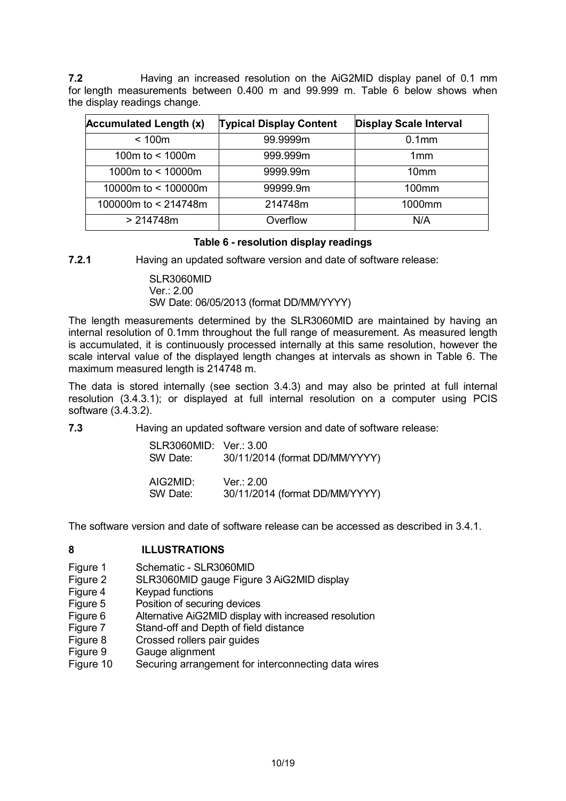**7.2** Having an increased resolution on the AiG2MID display panel of 0.1 mm for length measurements between 0.400 m and 99.999 m. Table 6 below shows when the display readings change.

| <b>Accumulated Length (x)</b> | <b>Typical Display Content</b> | <b>Display Scale Interval</b> |
|-------------------------------|--------------------------------|-------------------------------|
| < 100m                        | 99.9999m                       | 0.1 <sub>mm</sub>             |
| 100m to $<$ 1000m             | 999.999m                       | 1mm                           |
| 1000m to < 10000m             | 9999.99m                       | 10 <sub>mm</sub>              |
| 10000m to < 100000m           | 99999.9m                       | $100$ mm                      |
| 100000m to < 214748m          | 214748m                        | 1000mm                        |
| > 214748m                     | Overflow                       | N/A                           |

#### **Table 6 - resolution display readings**

**7.2.1** Having an updated software version and date of software release:

SLR3060MID Ver.: 2.00 SW Date: 06/05/2013 (format DD/MM/YYYY)

The length measurements determined by the SLR3060MID are maintained by having an internal resolution of 0.1mm throughout the full range of measurement. As measured length is accumulated, it is continuously processed internally at this same resolution, however the scale interval value of the displayed length changes at intervals as shown in Table 6. The maximum measured length is 214748 m.

The data is stored internally (see section 3.4.3) and may also be printed at full internal resolution (3.4.3.1); or displayed at full internal resolution on a computer using PCIS software (3.4.3.2).

**7.3** Having an updated software version and date of software release:

| SLR3060MID: Ver.: 3.00<br>SW Date: | 30/11/2014 (format DD/MM/YYYY) |
|------------------------------------|--------------------------------|
| AIG2MID:                           | Ver.: 2.00                     |
| SW Date:                           | 30/11/2014 (format DD/MM/YYYY) |

The software version and date of software release can be accessed as described in 3.4.1.

#### **8 ILLUSTRATIONS**

- Figure 1 Schematic SLR3060MID
- Figure 2 SLR3060MID gauge Figure 3 AiG2MID display<br>Figure 4 Keypad functions
- Keypad functions
- Figure 5 Position of securing devices
- Figure 6 Alternative AiG2MID display with increased resolution
- Figure 7 Stand-off and Depth of field distance
- Figure 8 Crossed rollers pair guides
- Figure 9 Gauge alignment
- Figure 10 Securing arrangement for interconnecting data wires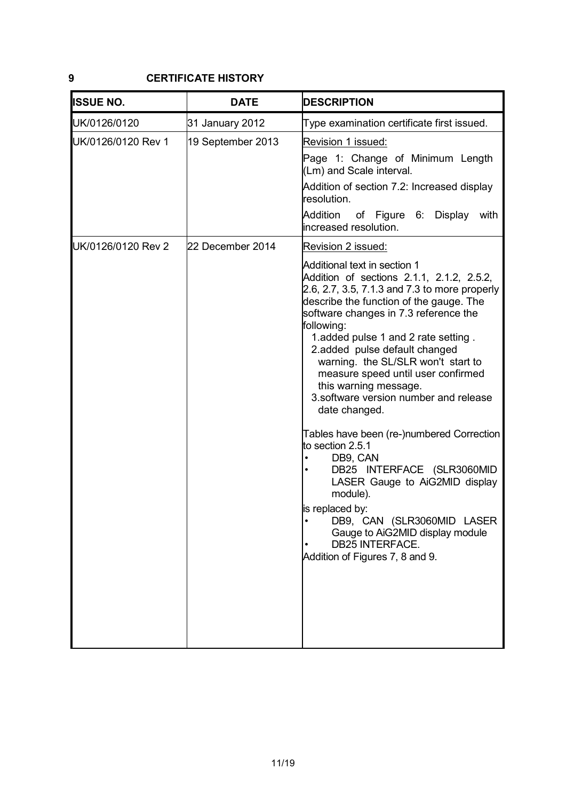#### **9 CERTIFICATE HISTORY**

| <b>DATE</b>       | <b>DESCRIPTION</b>                                                                                                                                                                                                                                                                                                                                                                                                                                                  |
|-------------------|---------------------------------------------------------------------------------------------------------------------------------------------------------------------------------------------------------------------------------------------------------------------------------------------------------------------------------------------------------------------------------------------------------------------------------------------------------------------|
| 31 January 2012   | Type examination certificate first issued.                                                                                                                                                                                                                                                                                                                                                                                                                          |
| 19 September 2013 | Revision 1 issued:                                                                                                                                                                                                                                                                                                                                                                                                                                                  |
|                   | Page 1: Change of Minimum Length<br>(Lm) and Scale interval.                                                                                                                                                                                                                                                                                                                                                                                                        |
|                   | Addition of section 7.2: Increased display<br>resolution.                                                                                                                                                                                                                                                                                                                                                                                                           |
|                   | Addition<br>of Figure 6:<br>Display<br>with<br>increased resolution.                                                                                                                                                                                                                                                                                                                                                                                                |
| 22 December 2014  | Revision 2 issued:                                                                                                                                                                                                                                                                                                                                                                                                                                                  |
|                   | Additional text in section 1<br>Addition of sections 2.1.1, 2.1.2, 2.5.2,<br>2.6, 2.7, 3.5, 7.1.3 and 7.3 to more properly<br>describe the function of the gauge. The<br>software changes in 7.3 reference the<br>following:<br>1.added pulse 1 and 2 rate setting.<br>2.added pulse default changed<br>warning. the SL/SLR won't start to<br>measure speed until user confirmed<br>this warning message.<br>3.software version number and release<br>date changed. |
|                   | Tables have been (re-)numbered Correction<br>to section 2.5.1<br>DB9, CAN<br>DB25 INTERFACE (SLR3060MID<br>LASER Gauge to AiG2MID display<br>module).<br>is replaced by:<br>DB9, CAN (SLR3060MID LASER<br>Gauge to AiG2MID display module<br><b>DB25 INTERFACE.</b><br>Addition of Figures 7, 8 and 9.                                                                                                                                                              |
|                   |                                                                                                                                                                                                                                                                                                                                                                                                                                                                     |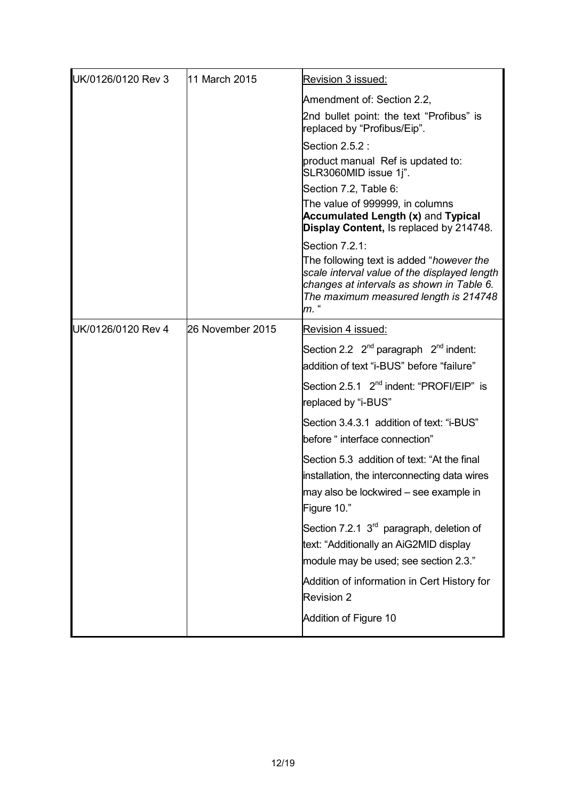| UK/0126/0120 Rev 3 | 11 March 2015    | Revision 3 issued:                                                                                                                                                                     |
|--------------------|------------------|----------------------------------------------------------------------------------------------------------------------------------------------------------------------------------------|
|                    |                  | Amendment of: Section 2.2,                                                                                                                                                             |
|                    |                  | 2nd bullet point: the text "Profibus" is<br>replaced by "Profibus/Eip".                                                                                                                |
|                    |                  | Section 2.5.2 :                                                                                                                                                                        |
|                    |                  | product manual Ref is updated to:<br>SLR3060MID issue 1j".                                                                                                                             |
|                    |                  | Section 7.2, Table 6:                                                                                                                                                                  |
|                    |                  | The value of 999999, in columns<br><b>Accumulated Length (x) and Typical</b><br>Display Content, Is replaced by 214748.                                                                |
|                    |                  | Section 7.2.1:                                                                                                                                                                         |
|                    |                  | The following text is added "however the<br>scale interval value of the displayed length<br>changes at intervals as shown in Table 6.<br>The maximum measured length is 214748<br>m. " |
| UK/0126/0120 Rev 4 | 26 November 2015 | Revision 4 issued:                                                                                                                                                                     |
|                    |                  | Section 2.2 $2^{nd}$ paragraph $2^{nd}$ indent:<br>addition of text "i-BUS" before "failure"                                                                                           |
|                    |                  | Section 2.5.1 2 <sup>nd</sup> indent: "PROFI/EIP" is<br>replaced by "i-BUS"                                                                                                            |
|                    |                  | Section 3.4.3.1 addition of text: "i-BUS"<br>before "interface connection"                                                                                                             |
|                    |                  | Section 5.3 addition of text: "At the final<br>installation, the interconnecting data wires<br>may also be lockwired – see example in<br>Figure 10."                                   |
|                    |                  | Section 7.2.1 $3rd$ paragraph, deletion of<br>text: "Additionally an AiG2MID display<br>module may be used; see section 2.3."                                                          |
|                    |                  | Addition of information in Cert History for<br><b>Revision 2</b>                                                                                                                       |
|                    |                  | Addition of Figure 10                                                                                                                                                                  |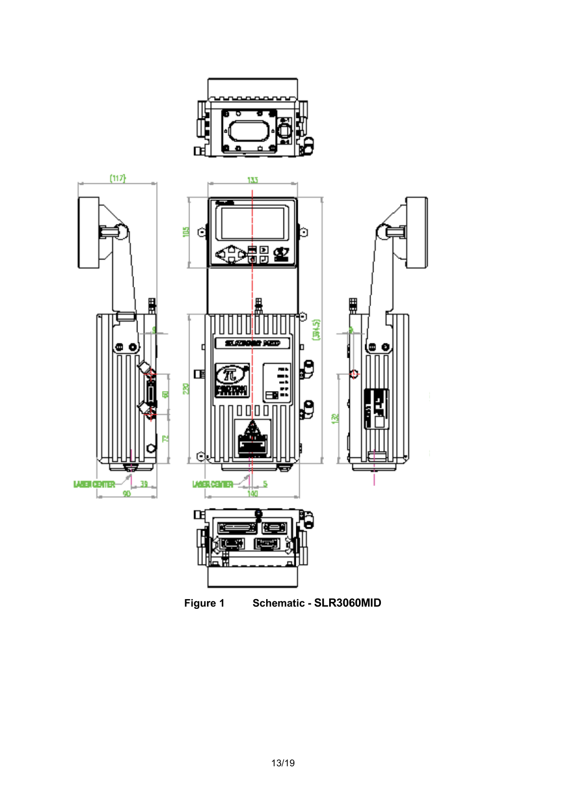

**Figure 1 Schematic - SLR3060MID**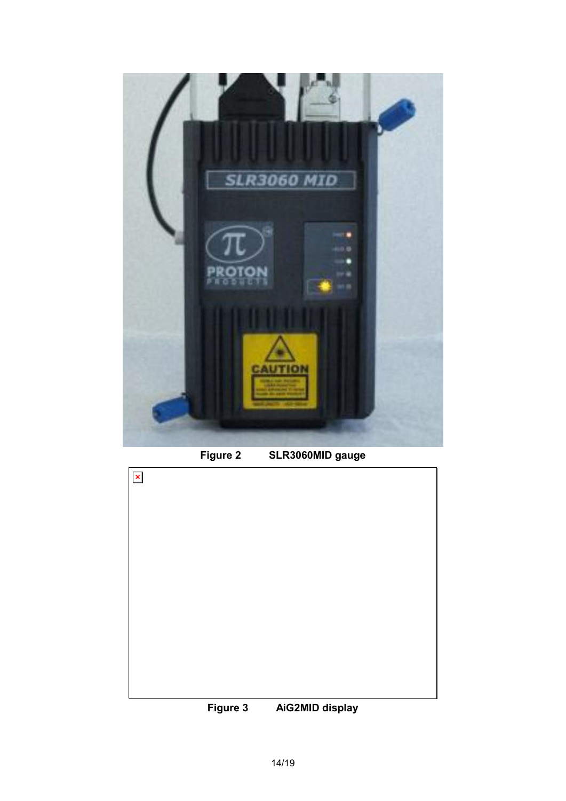

**Figure 2 SLR3060MID gauge**



**Figure 3 AiG2MID display**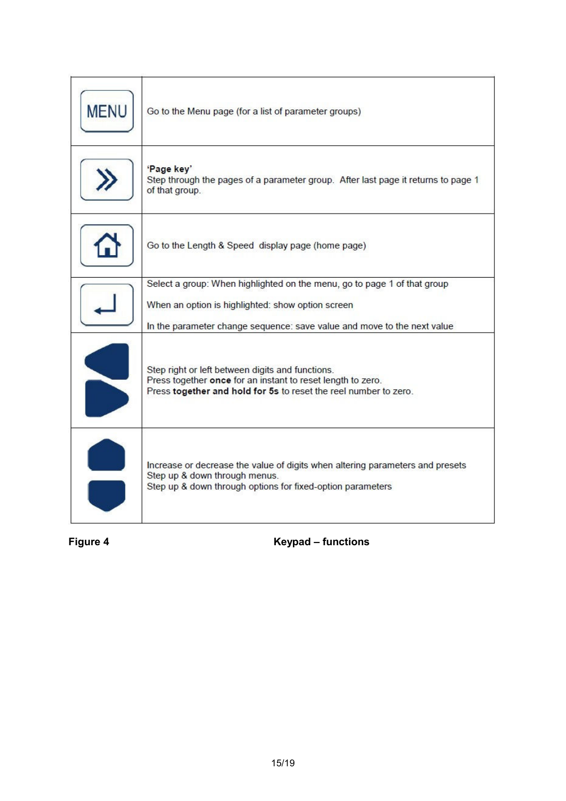| <b>MENU</b> | Go to the Menu page (for a list of parameter groups)                                                                                                                                |
|-------------|-------------------------------------------------------------------------------------------------------------------------------------------------------------------------------------|
|             | 'Page key'<br>Step through the pages of a parameter group. After last page it returns to page 1<br>of that group.                                                                   |
|             | Go to the Length & Speed display page (home page)                                                                                                                                   |
|             | Select a group: When highlighted on the menu, go to page 1 of that group                                                                                                            |
|             | When an option is highlighted: show option screen                                                                                                                                   |
|             | In the parameter change sequence: save value and move to the next value                                                                                                             |
|             | Step right or left between digits and functions.<br>Press together once for an instant to reset length to zero.<br>Press together and hold for 5s to reset the reel number to zero. |
|             | Increase or decrease the value of digits when altering parameters and presets<br>Step up & down through menus.<br>Step up & down through options for fixed-option parameters        |

Figure 4 **Keypad – functions**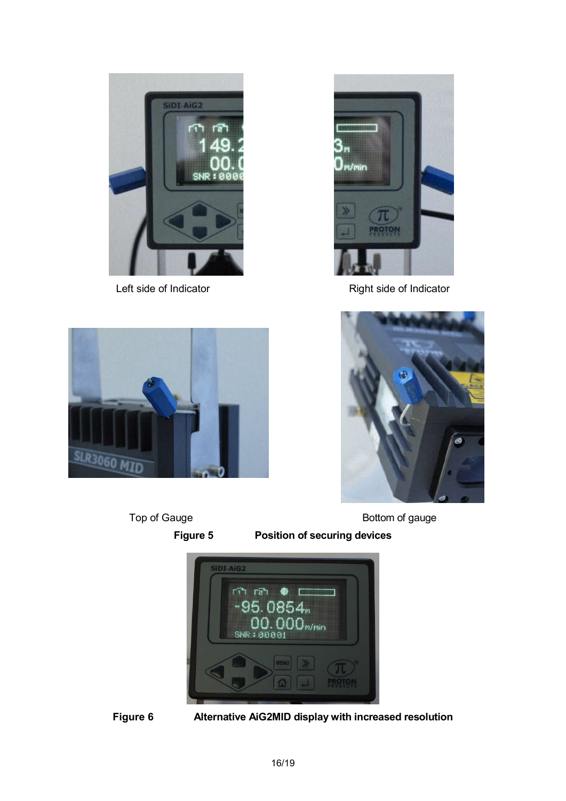



Left side of Indicator **Right side of Indicator** Right side of Indicator





Top of Gauge **Bottom** of gauge

**Figure 5 Position of securing devices**



**Figure 6 Alternative AiG2MID display with increased resolution**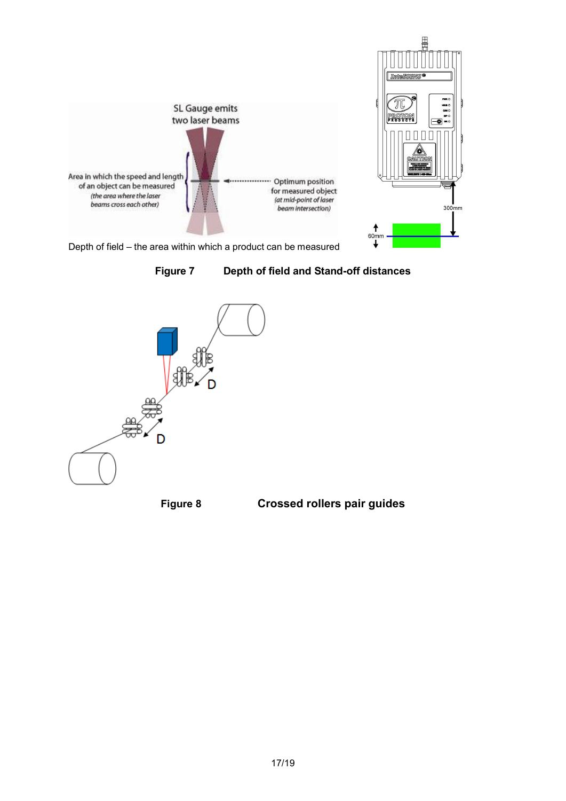



Depth of field – the area within which a product can be measured





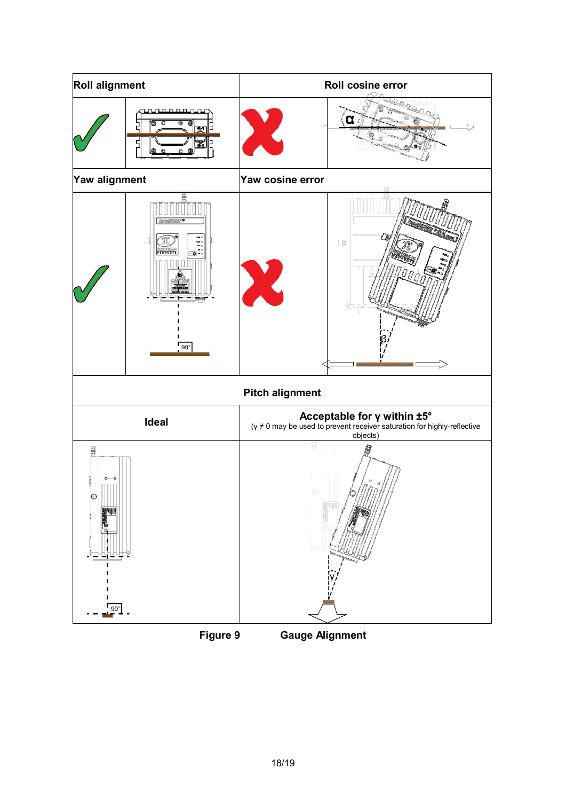

**Figure 9 Gauge Alignment**